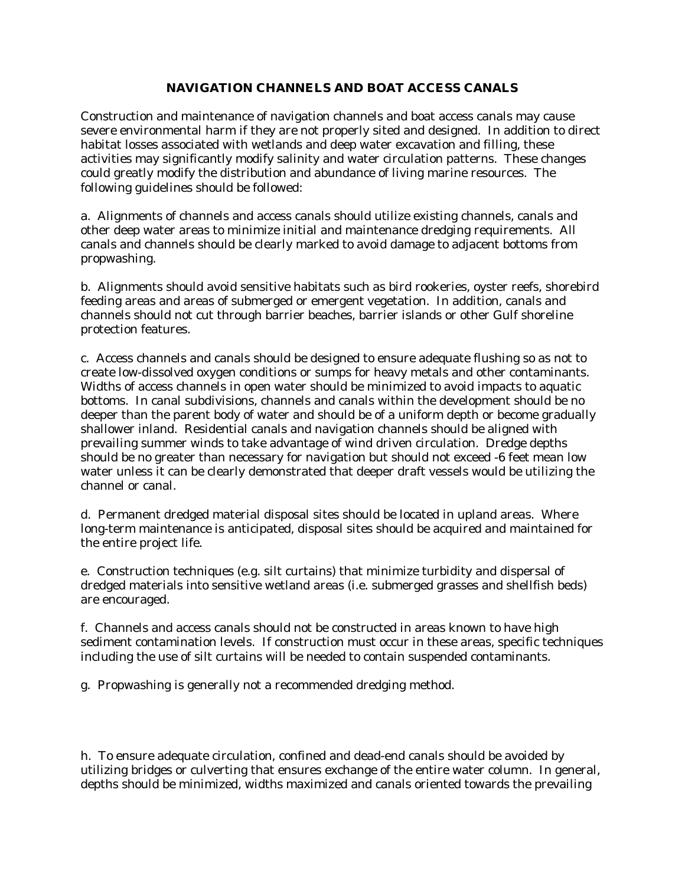## **NAVIGATION CHANNELS AND BOAT ACCESS CANALS**

Construction and maintenance of navigation channels and boat access canals may cause severe environmental harm if they are not properly sited and designed. In addition to direct habitat losses associated with wetlands and deep water excavation and filling, these activities may significantly modify salinity and water circulation patterns. These changes could greatly modify the distribution and abundance of living marine resources. The following guidelines should be followed:

a. Alignments of channels and access canals should utilize existing channels, canals and other deep water areas to minimize initial and maintenance dredging requirements. All canals and channels should be clearly marked to avoid damage to adjacent bottoms from propwashing.

b. Alignments should avoid sensitive habitats such as bird rookeries, oyster reefs, shorebird feeding areas and areas of submerged or emergent vegetation. In addition, canals and channels should not cut through barrier beaches, barrier islands or other Gulf shoreline protection features.

c. Access channels and canals should be designed to ensure adequate flushing so as not to create low-dissolved oxygen conditions or sumps for heavy metals and other contaminants. Widths of access channels in open water should be minimized to avoid impacts to aquatic bottoms. In canal subdivisions, channels and canals within the development should be no deeper than the parent body of water and should be of a uniform depth or become gradually shallower inland. Residential canals and navigation channels should be aligned with prevailing summer winds to take advantage of wind driven circulation. Dredge depths should be no greater than necessary for navigation but should not exceed -6 feet mean low water unless it can be clearly demonstrated that deeper draft vessels would be utilizing the channel or canal.

d. Permanent dredged material disposal sites should be located in upland areas. Where long-term maintenance is anticipated, disposal sites should be acquired and maintained for the entire project life.

e. Construction techniques (e.g. silt curtains) that minimize turbidity and dispersal of dredged materials into sensitive wetland areas (i.e. submerged grasses and shellfish beds) are encouraged.

f. Channels and access canals should not be constructed in areas known to have high sediment contamination levels. If construction must occur in these areas, specific techniques including the use of silt curtains will be needed to contain suspended contaminants.

g. Propwashing is generally not a recommended dredging method.

h. To ensure adequate circulation, confined and dead-end canals should be avoided by utilizing bridges or culverting that ensures exchange of the entire water column. In general, depths should be minimized, widths maximized and canals oriented towards the prevailing